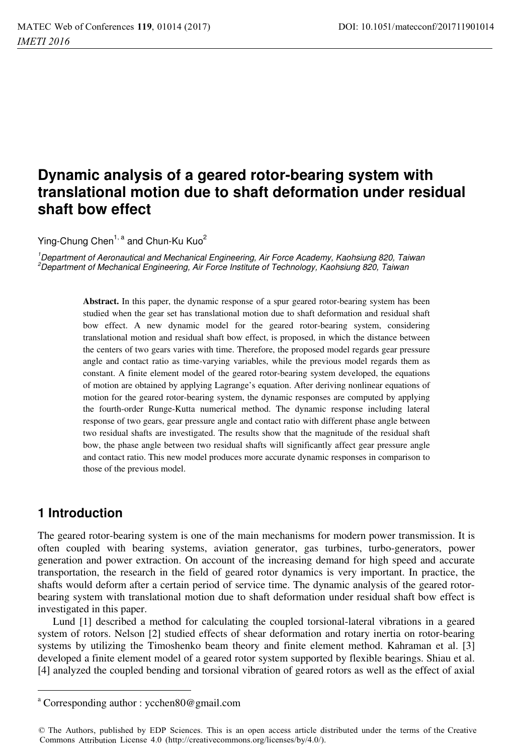# **Dynamic analysis of a geared rotor-bearing system with translational motion due to shaft deformation under residual shaft bow effect**

Ying-Chung Chen<sup>1, a</sup> and Chun-Ku Kuo<sup>2</sup>

<sup>1</sup> Department of Aeronautical and Mechanical Engineering, Air Force Academy, Kaohsiung 820, Taiwan<br><sup>2</sup> Department of Mechanical Engineering, Air Force Institute of Technology, Kaohsiung 820, Taiwan  $<sup>2</sup>$ Department of Mechanical Engineering, Air Force Institute of Technology, Kaohsiung 820, Taiwan</sup>

> Abstract. In this paper, the dynamic response of a spur geared rotor-bearing system has been studied when the gear set has translational motion due to shaft deformation and residual shaft bow effect. A new dynamic model for the geared rotor-bearing system, considering translational motion and residual shaft bow effect, is proposed, in which the distance between the centers of two gears varies with time. Therefore, the proposed model regards gear pressure angle and contact ratio as time-varying variables, while the previous model regards them as constant. A finite element model of the geared rotor-bearing system developed, the equations of motion are obtained by applying Lagrange's equation. After deriving nonlinear equations of motion for the geared rotor-bearing system, the dynamic responses are computed by applying the fourth-order Runge-Kutta numerical method. The dynamic response including lateral response of two gears, gear pressure angle and contact ratio with different phase angle between two residual shafts are investigated. The results show that the magnitude of the residual shaft bow, the phase angle between two residual shafts will significantly affect gear pressure angle and contact ratio. This new model produces more accurate dynamic responses in comparison to those of the previous model.

## **1 Introduction**

 $\overline{a}$ 

The geared rotor-bearing system is one of the main mechanisms for modern power transmission. It is often coupled with bearing systems, aviation generator, gas turbines, turbo-generators, power generation and power extraction. On account of the increasing demand for high speed and accurate transportation, the research in the field of geared rotor dynamics is very important. In practice, the shafts would deform after a certain period of service time. The dynamic analysis of the geared rotorbearing system with translational motion due to shaft deformation under residual shaft bow effect is investigated in this paper.

Lund [1] described a method for calculating the coupled torsional-lateral vibrations in a geared system of rotors. Nelson [2] studied effects of shear deformation and rotary inertia on rotor-bearing systems by utilizing the Timoshenko beam theory and finite element method. Kahraman et al. [3] developed a finite element model of a geared rotor system supported by flexible bearings. Shiau et al. [4] analyzed the coupled bending and torsional vibration of geared rotors as well as the effect of axial

a Corresponding author : ycchen80@gmail.com

<sup>©</sup> The Authors, published by EDP Sciences. This is an open access article distributed under the terms of the Creative Commons Attribution License 4.0 (http://creativecommons.org/licenses/by/4.0/).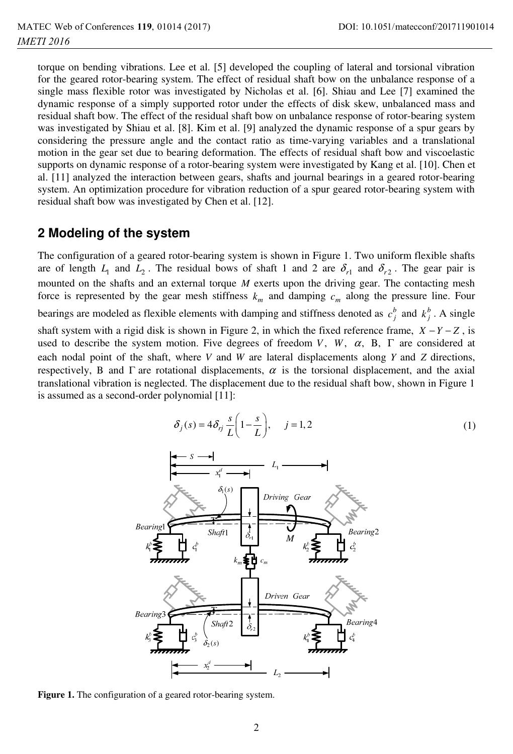torque on bending vibrations. Lee et al. [5] developed the coupling of lateral and torsional vibration for the geared rotor-bearing system. The effect of residual shaft bow on the unbalance response of a single mass flexible rotor was investigated by Nicholas et al. [6]. Shiau and Lee [7] examined the dynamic response of a simply supported rotor under the effects of disk skew, unbalanced mass and residual shaft bow. The effect of the residual shaft bow on unbalance response of rotor-bearing system was investigated by Shiau et al. [8]. Kim et al. [9] analyzed the dynamic response of a spur gears by considering the pressure angle and the contact ratio as time-varying variables and a translational motion in the gear set due to bearing deformation. The effects of residual shaft bow and viscoelastic supports on dynamic response of a rotor-bearing system were investigated by Kang et al. [10]. Chen et al. [11] analyzed the interaction between gears, shafts and journal bearings in a geared rotor-bearing system. An optimization procedure for vibration reduction of a spur geared rotor-bearing system with residual shaft bow was investigated by Chen et al. [12].

### **2 Modeling of the system**

The configuration of a geared rotor-bearing system is shown in Figure 1. Two uniform flexible shafts are of length  $L_1$  and  $L_2$ . The residual bows of shaft 1 and 2 are  $\delta_{r1}$  and  $\delta_{r2}$ . The gear pair is mounted on the shafts and an external torque *M* exerts upon the driving gear. The contacting mesh force is represented by the gear mesh stiffness  $k_m$  and damping  $c_m$  along the pressure line. Four bearings are modeled as flexible elements with damping and stiffness denoted as  $c_j^b$  and  $k_j^b$ . A single shaft system with a rigid disk is shown in Figure 2, in which the fixed reference frame,  $X - Y - Z$ , is used to describe the system motion. Five degrees of freedom *V*, *W*,  $\alpha$ , B,  $\Gamma$  are considered at each nodal point of the shaft, where *V* and *W* are lateral displacements along *Y* and *Z* directions, respectively, B and  $\Gamma$  are rotational displacements,  $\alpha$  is the torsional displacement, and the axial translational vibration is neglected. The displacement due to the residual shaft bow, shown in Figure 1 is assumed as a second-order polynomial [11]:

$$
\delta_j(s) = 4\delta_{rj}\frac{s}{L}\left(1 - \frac{s}{L}\right), \quad j = 1, 2
$$
\n(1)



**Figure 1.** The configuration of a geared rotor-bearing system.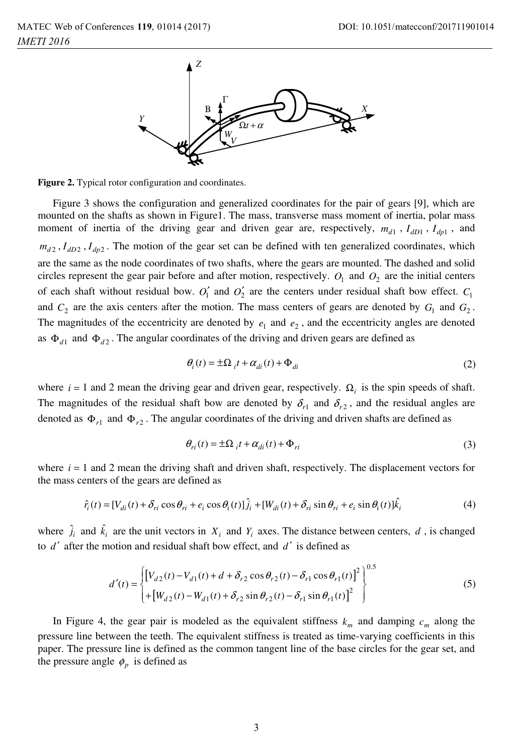

**Figure 2.** Typical rotor configuration and coordinates.

Figure 3 shows the configuration and generalized coordinates for the pair of gears [9], which are mounted on the shafts as shown in Figure1. The mass, transverse mass moment of inertia, polar mass moment of inertia of the driving gear and driven gear are, respectively,  $m_{d1}$ ,  $I_{dD1}$ ,  $I_{dp1}$ , and  $m_{d2}$ ,  $I_{dD2}$ ,  $I_{dp2}$ . The motion of the gear set can be defined with ten generalized coordinates, which are the same as the node coordinates of two shafts, where the gears are mounted. The dashed and solid circles represent the gear pair before and after motion, respectively.  $O_1$  and  $O_2$  are the initial centers of each shaft without residual bow.  $O'_1$  and  $O'_2$  are the centers under residual shaft bow effect.  $C_1$ and  $C_2$  are the axis centers after the motion. The mass centers of gears are denoted by  $G_1$  and  $G_2$ . The magnitudes of the eccentricity are denoted by  $e_1$  and  $e_2$ , and the eccentricity angles are denoted as  $\Phi_{d1}$  and  $\Phi_{d2}$ . The angular coordinates of the driving and driven gears are defined as

$$
\theta_i(t) = \pm \Omega_{it} + \alpha_{di}(t) + \Phi_{di}
$$
\n(2)

where  $i = 1$  and 2 mean the driving gear and driven gear, respectively.  $\Omega_i$  is the spin speeds of shaft. The magnitudes of the residual shaft bow are denoted by  $\delta_{r1}$  and  $\delta_{r2}$ , and the residual angles are denoted as  $\Phi_{r1}$  and  $\Phi_{r2}$ . The angular coordinates of the driving and driven shafts are defined as

$$
\theta_{ri}(t) = \pm \Omega_{i} t + \alpha_{di}(t) + \Phi_{ri}
$$
\n(3)

where  $i = 1$  and 2 mean the driving shaft and driven shaft, respectively. The displacement vectors for the mass centers of the gears are defined as

$$
\hat{r}_i(t) = [V_{di}(t) + \delta_{ri}\cos\theta_{ri} + e_i\cos\theta_i(t)]\hat{j}_i + [W_{di}(t) + \delta_{ri}\sin\theta_{ri} + e_i\sin\theta_i(t)]\hat{k}_i
$$
\n(4)

where  $\hat{j}_i$  and  $\hat{k}_i$  are the unit vectors in  $X_i$  and  $Y_i$  axes. The distance between centers, *d*, is changed to  $d'$  after the motion and residual shaft bow effect, and  $d'$  is defined as

$$
d'(t) = \begin{cases} \left[ V_{d2}(t) - V_{d1}(t) + d + \delta_{r2} \cos \theta_{r2}(t) - \delta_{r1} \cos \theta_{r1}(t) \right]^2 \right]^{0.5} \\ + \left[ W_{d2}(t) - W_{d1}(t) + \delta_{r2} \sin \theta_{r2}(t) - \delta_{r1} \sin \theta_{r1}(t) \right]^2 \end{cases}
$$
(5)

In Figure 4, the gear pair is modeled as the equivalent stiffness  $k_m$  and damping  $c_m$  along the pressure line between the teeth. The equivalent stiffness is treated as time-varying coefficients in this paper. The pressure line is defined as the common tangent line of the base circles for the gear set, and the pressure angle  $\phi$ <sub>*p*</sub> is defined as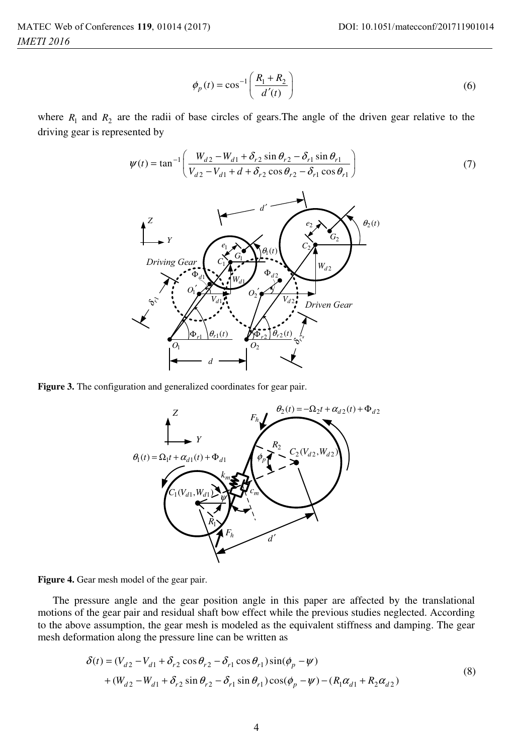$$
\phi_p(t) = \cos^{-1}\left(\frac{R_1 + R_2}{d'(t)}\right) \tag{6}
$$

where  $R_1$  and  $R_2$  are the radii of base circles of gears. The angle of the driven gear relative to the driving gear is represented by

$$
\psi(t) = \tan^{-1} \left( \frac{W_{d2} - W_{d1} + \delta_{r2} \sin \theta_{r2} - \delta_{r1} \sin \theta_{r1}}{V_{d2} - V_{d1} + d + \delta_{r2} \cos \theta_{r2} - \delta_{r1} \cos \theta_{r1}} \right)
$$
(7)



**Figure 3.** The configuration and generalized coordinates for gear pair.





The pressure angle and the gear position angle in this paper are affected by the translational motions of the gear pair and residual shaft bow effect while the previous studies neglected. According to the above assumption, the gear mesh is modeled as the equivalent stiffness and damping. The gear mesh deformation along the pressure line can be written as

$$
\delta(t) = (V_{d2} - V_{d1} + \delta_{r2} \cos \theta_{r2} - \delta_{r1} \cos \theta_{r1}) \sin(\phi_p - \psi) + (W_{d2} - W_{d1} + \delta_{r2} \sin \theta_{r2} - \delta_{r1} \sin \theta_{r1}) \cos(\phi_p - \psi) - (R_1 \alpha_{d1} + R_2 \alpha_{d2})
$$
\n(8)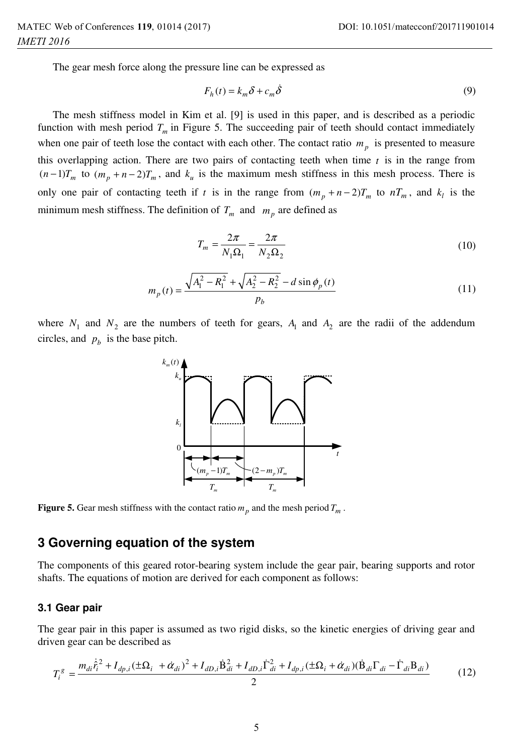The gear mesh force along the pressure line can be expressed as

$$
F_h(t) = k_m \delta + c_m \dot{\delta}
$$
 (9)

The mesh stiffness model in Kim et al. [9] is used in this paper, and is described as a periodic function with mesh period  $T_m$  in Figure 5. The succeeding pair of teeth should contact immediately when one pair of teeth lose the contact with each other. The contact ratio  $m<sub>p</sub>$  is presented to measure this overlapping action. There are two pairs of contacting teeth when time  $t$  is in the range from  $(n-1)T_m$  to  $(m_n + n-2)T_m$ , and  $k_u$  is the maximum mesh stiffness in this mesh process. There is only one pair of contacting teeth if *t* is in the range from  $(m_p + n - 2)T_m$  to  $nT_m$ , and  $k_l$  is the minimum mesh stiffness. The definition of  $T_m$  and  $m_p$  are defined as

$$
T_m = \frac{2\pi}{N_1 \Omega_1} = \frac{2\pi}{N_2 \Omega_2} \tag{10}
$$

$$
m_p(t) = \frac{\sqrt{A_1^2 - R_1^2} + \sqrt{A_2^2 - R_2^2} - d\sin\phi_p(t)}{p_b}
$$
\n(11)

where  $N_1$  and  $N_2$  are the numbers of teeth for gears,  $A_1$  and  $A_2$  are the radii of the addendum circles, and  $p<sub>b</sub>$  is the base pitch.



**Figure 5.** Gear mesh stiffness with the contact ratio  $m_p$  and the mesh period  $T_m$ .

### **3 Governing equation of the system**

The components of this geared rotor-bearing system include the gear pair, bearing supports and rotor shafts. The equations of motion are derived for each component as follows:

#### **3.1 Gear pair**

The gear pair in this paper is assumed as two rigid disks, so the kinetic energies of driving gear and driven gear can be described as

$$
T_i^g = \frac{m_{di}\dot{\hat{r}}_i^2 + I_{dp,i}(\pm\Omega_i + \dot{\alpha}_{di})^2 + I_{dD,i}\dot{B}_{di}^2 + I_{dD,i}\dot{\Gamma}_{di}^2 + I_{dp,i}(\pm\Omega_i + \dot{\alpha}_{di})(\dot{B}_{di}\Gamma_{di} - \dot{\Gamma}_{di}B_{di})}{2}
$$
(12)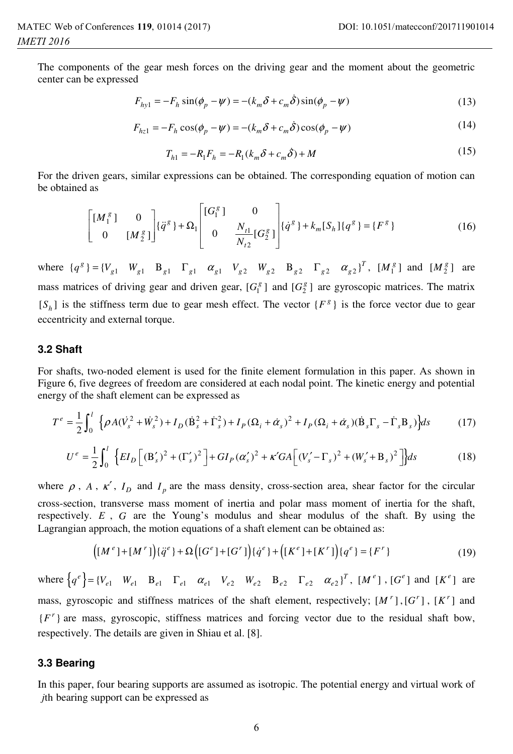The components of the gear mesh forces on the driving gear and the moment about the geometric center can be expressed

$$
F_{hy1} = -F_h \sin(\phi_p - \psi) = -(k_m \delta + c_m \dot{\delta}) \sin(\phi_p - \psi)
$$
\n(13)

$$
F_{hz1} = -F_h \cos(\phi_p - \psi) = -(k_m \delta + c_m \dot{\delta}) \cos(\phi_p - \psi)
$$
\n(14)

$$
T_{h1} = -R_1 F_h = -R_1 (k_m \delta + c_m \dot{\delta}) + M
$$
\n(15)

For the driven gears, similar expressions can be obtained. The corresponding equation of motion can be obtained as

$$
\begin{bmatrix} [M_1^g] & 0 \\ 0 & [M_2^g] \end{bmatrix} \{\ddot{q}^g\} + \Omega_1 \begin{bmatrix} [G_1^g] & 0 \\ 0 & \frac{N_{t1}}{N_{t2}} [G_2^g] \end{bmatrix} \{\dot{q}^g\} + k_m [S_h] \{q^g\} = \{F^g\}
$$
 (16)

where  $\{q^g\} = \{V_{g1} \mid W_{g1} \mid B_{g1} \mid \Gamma_{g1} \mid \alpha_{g1} \mid V_{g2} \mid W_{g2} \mid B_{g2} \mid \Gamma_{g2} \mid \alpha_{g2}\}^T$ ,  $\{M_1^g\}$  and  $\{M_2^g\}$  are mass matrices of driving gear and driven gear,  $[G_1^g]$  and  $[G_2^g]$  are gyroscopic matrices. The matrix  $[S_h]$  is the stiffness term due to gear mesh effect. The vector  $\{F^g\}$  is the force vector due to gear eccentricity and external torque.

#### **3.2 Shaft**

For shafts, two-noded element is used for the finite element formulation in this paper. As shown in Figure 6, five degrees of freedom are considered at each nodal point. The kinetic energy and potential energy of the shaft element can be expressed as

$$
T^{e} = \frac{1}{2} \int_{0}^{l} \left\{ \rho A(\dot{V}_{s}^{2} + \dot{W}_{s}^{2}) + I_{D}(\dot{B}_{s}^{2} + \dot{\Gamma}_{s}^{2}) + I_{P}(\Omega_{i} + \dot{\alpha}_{s})^{2} + I_{P}(\Omega_{i} + \dot{\alpha}_{s})(\dot{B}_{s}\Gamma_{s} - \dot{\Gamma}_{s}B_{s}) \right\} ds
$$
 (17)

$$
U^{e} = \frac{1}{2} \int_{0}^{l} \left\{ EI_{D} \left[ \left( \mathbf{B}_{s}^{\prime} \right)^{2} + \left( \Gamma_{s}^{\prime} \right)^{2} \right] + GI_{P} \left( \alpha_{s}^{\prime} \right)^{2} + \kappa^{\prime} GA \left[ \left( V_{s}^{\prime} - \Gamma_{s} \right)^{2} + \left( W_{s}^{\prime} + \mathbf{B}_{s} \right)^{2} \right] \right\} ds
$$
 (18)

where  $\rho$ , *A*,  $\kappa'$ ,  $I_D$  and  $I_p$  are the mass density, cross-section area, shear factor for the circular cross-section, transverse mass moment of inertia and polar mass moment of inertia for the shaft, respectively. *E* , *G* are the Young's modulus and shear modulus of the shaft. By using the Lagrangian approach, the motion equations of a shaft element can be obtained as:

$$
([M^e] + [M^r])\{\ddot{q}^e\} + \Omega\Big([G^e] + [G^r]\Big)\{\dot{q}^e\} + \Big([K^e] + [K^r]\Big)\{q^e\} = \{F^r\}
$$
\n(19)

where  $\left\{ q^e \right\} = \left\{ V_{e1} \mid W_{e1} \mid B_{e1} \mid \Gamma_{e1} \mid \alpha_{e1} \mid V_{e2} \mid W_{e2} \mid B_{e2} \mid \Gamma_{e2} \mid \alpha_{e2} \right\}^T$ ,  $\left[ M^e \right]$ ,  $\left[ G^e \right]$  and  $\left[ K^e \right]$  are mass, gyroscopic and stiffness matrices of the shaft element, respectively;  $[M^r]$ ,  $[G^r]$ ,  $[K^r]$  and  ${F' }$  are mass, gyroscopic, stiffness matrices and forcing vector due to the residual shaft bow, respectively. The details are given in Shiau et al. [8].

#### **3.3 Bearing**

In this paper, four bearing supports are assumed as isotropic. The potential energy and virtual work of *j*th bearing support can be expressed as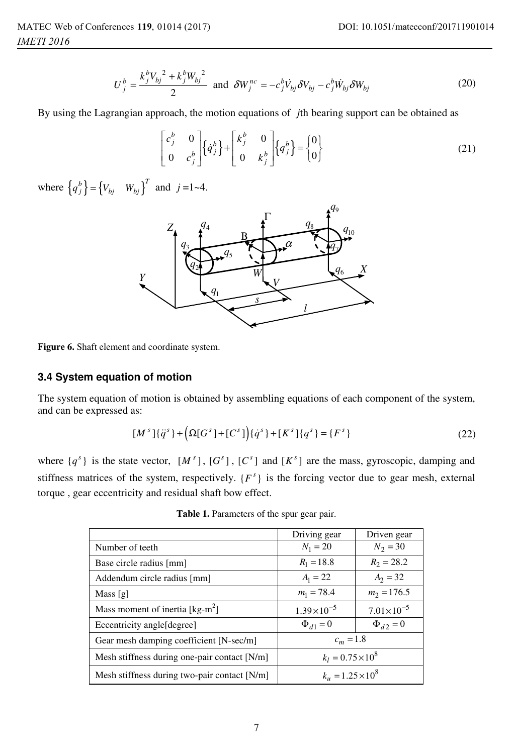$$
U_j^b = \frac{k_j^b V_{bj}^2 + k_j^b W_{bj}^2}{2}
$$
 and  $\delta W_j^{nc} = -c_j^b V_{bj} \delta V_{bj} - c_j^b W_{bj} \delta W_{bj}$  (20)

By using the Lagrangian approach, the motion equations of *j*th bearing support can be obtained as

$$
\begin{bmatrix} c_j^b & 0 \ 0 & c_j^b \end{bmatrix} \left\{ \dot{q}_j^b \right\} + \begin{bmatrix} k_j^b & 0 \ 0 & k_j^b \end{bmatrix} \left\{ q_j^b \right\} = \begin{Bmatrix} 0 \\ 0 \end{Bmatrix}
$$
 (21)

where  $\left\{ q_j^b \right\} = \left\{ V_{bj} \mid W_{bj} \right\}^T$  and  $j = 1, 4$ .



**Figure 6.** Shaft element and coordinate system.

#### **3.4 System equation of motion**

The system equation of motion is obtained by assembling equations of each component of the system, and can be expressed as:

$$
[Ms](\ddot{q}^{s}) + (\Omega[Gs] + [Cs])(\dot{q}^{s}) + [Ks](qs) = {Fs}
$$
\n(22)

where  $\{q^s\}$  is the state vector,  $[M^s]$ ,  $[G^s]$ ,  $[G^s]$  and  $[K^s]$  are the mass, gyroscopic, damping and stiffness matrices of the system, respectively.  ${F<sup>s</sup>}$  is the forcing vector due to gear mesh, external torque , gear eccentricity and residual shaft bow effect.

|                                                      | Driving gear             | Driven gear         |
|------------------------------------------------------|--------------------------|---------------------|
| Number of teeth                                      | $N_1 = 20$               | $N_2 = 30$          |
| Base circle radius [mm]                              | $R_1 = 18.8$             | $R_2 = 28.2$        |
| Addendum circle radius [mm]                          | $A_1 = 22$               | $A_2 = 32$          |
| Mass $[g]$                                           | $m_1 = 78.4$             | $m_2 = 176.5$       |
| Mass moment of inertia $\lceil \text{kg-m}^2 \rceil$ | $1.39 \times 10^{-5}$    | $7.01\times10^{-5}$ |
| Eccentricity angle[degree]                           | $\Phi_{d1} = 0$          | $\Phi_{d2} = 0$     |
| Gear mesh damping coefficient [N-sec/m]              | $c_m = 1.8$              |                     |
| Mesh stiffness during one-pair contact [N/m]         | $k_l = 0.75 \times 10^8$ |                     |
| Mesh stiffness during two-pair contact [N/m]         | $k_u = 1.25 \times 10^8$ |                     |

**Table 1.** Parameters of the spur gear pair.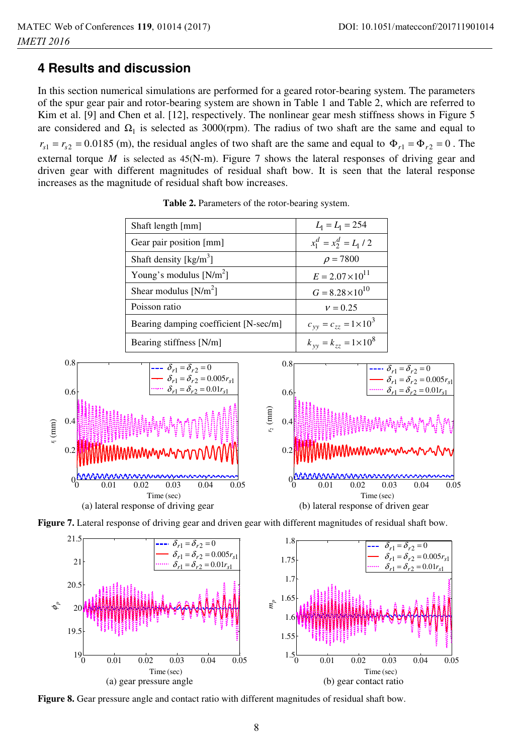# **4 Results and discussion**

In this section numerical simulations are performed for a geared rotor-bearing system. The parameters of the spur gear pair and rotor-bearing system are shown in Table 1 and Table 2, which are referred to Kim et al. [9] and Chen et al. [12], respectively. The nonlinear gear mesh stiffness shows in Figure 5 are considered and  $\Omega_1$  is selected as 3000(rpm). The radius of two shaft are the same and equal to  $r_{s1} = r_{s2} = 0.0185$  (m), the residual angles of two shaft are the same and equal to  $\Phi_{r1} = \Phi_{r2} = 0$ . The external torque  $M$  is selected as  $45(N-m)$ . Figure 7 shows the lateral responses of driving gear and driven gear with different magnitudes of residual shaft bow. It is seen that the lateral response increases as the magnitude of residual shaft bow increases.

| Shaft length [mm]                     | $L_1 = L_1 = 254$                 |
|---------------------------------------|-----------------------------------|
| Gear pair position [mm]               | $x_1^d = x_2^d = L_1 / 2$         |
| Shaft density $[kg/m^3]$              | $\rho = 7800$                     |
| Young's modulus $[N/m^2]$             | $E = 2.07 \times 10^{11}$         |
| Shear modulus $[N/m^2]$               | $G = 8.28 \times 10^{10}$         |
| Poisson ratio                         | $v = 0.25$                        |
| Bearing damping coefficient [N-sec/m] | $c_{yy} = c_{zz} = 1 \times 10^3$ |
| Bearing stiffness [N/m]               | $k_{yy} = k_{zz} = 1 \times 10^8$ |

**Table 2.** Parameters of the rotor-bearing system.







**Figure 8.** Gear pressure angle and contact ratio with different magnitudes of residual shaft bow.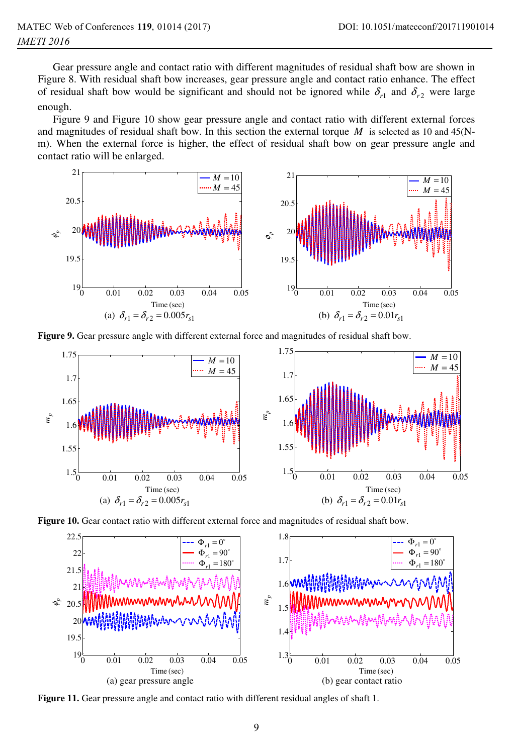Gear pressure angle and contact ratio with different magnitudes of residual shaft bow are shown in Figure 8. With residual shaft bow increases, gear pressure angle and contact ratio enhance. The effect of residual shaft bow would be significant and should not be ignored while  $\delta_{r1}$  and  $\delta_{r2}$  were large enough.

Figure 9 and Figure 10 show gear pressure angle and contact ratio with different external forces and magnitudes of residual shaft bow. In this section the external torque  $M$  is selected as 10 and 45(Nm). When the external force is higher, the effect of residual shaft bow on gear pressure angle and contact ratio will be enlarged.



**Figure 9.** Gear pressure angle with different external force and magnitudes of residual shaft bow.







**Figure 11.** Gear pressure angle and contact ratio with different residual angles of shaft 1.